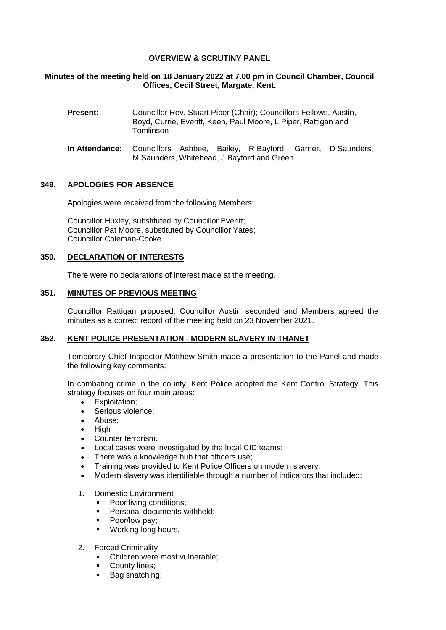### **OVERVIEW & SCRUTINY PANEL**

### **Minutes of the meeting held on 18 January 2022 at 7.00 pm in Council Chamber, Council Offices, Cecil Street, Margate, Kent.**

- **Present:** Councillor Rev. Stuart Piper (Chair); Councillors Fellows, Austin, Boyd, Currie, Everitt, Keen, Paul Moore, L Piper, Rattigan and Tomlinson
- **In Attendance:** Councillors Ashbee, Bailey, R Bayford, Garner, D Saunders, M Saunders, Whitehead, J Bayford and Green

### **349. APOLOGIES FOR ABSENCE**

Apologies were received from the following Members:

Councillor Huxley, substituted by Councillor Everitt; Councillor Pat Moore, substituted by Councillor Yates; Councillor Coleman-Cooke.

# **350. DECLARATION OF INTERESTS**

There were no declarations of interest made at the meeting.

### **351. MINUTES OF PREVIOUS MEETING**

Councillor Rattigan proposed, Councillor Austin seconded and Members agreed the minutes as a correct record of the meeting held on 23 November 2021.

### **352. KENT POLICE PRESENTATION - MODERN SLAVERY IN THANET**

Temporary Chief Inspector Matthew Smith made a presentation to the Panel and made the following key comments:

In combating crime in the county, Kent Police adopted the Kent Control Strategy. This strategy focuses on four main areas:

- Exploitation;
- Serious violence;
- Abuse:
- High
- Counter terrorism.
- Local cases were investigated by the local CID teams;
- There was a knowledge hub that officers use;
- Training was provided to Kent Police Officers on modern slavery;
- Modern slavery was identifiable through a number of indicators that included:
- 1. Domestic Environment
	- Poor living conditions;
	- **Personal documents withheld;**
	- Poor/low pay:
	- **Working long hours.**
- 2. Forced Criminality
	- Children were most vulnerable;
	- County lines;<br>• Bag snatching
	- Bag snatching;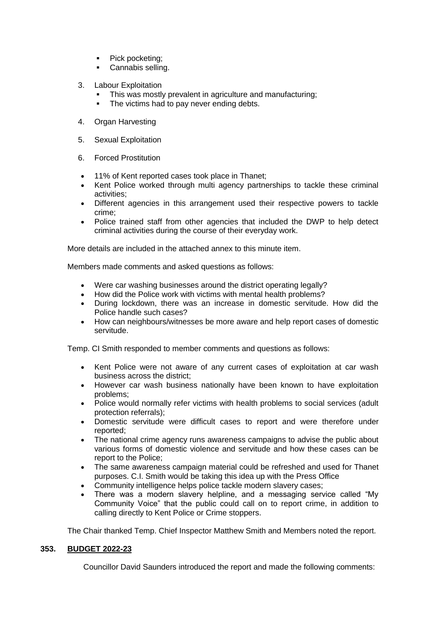- Pick pocketing;
- **Cannabis selling.**
- 3. Labour Exploitation
	- This was mostly prevalent in agriculture and manufacturing;
	- The victims had to pay never ending debts.
- 4. Organ Harvesting
- 5. Sexual Exploitation
- 6. Forced Prostitution
- 11% of Kent reported cases took place in Thanet;
- Kent Police worked through multi agency partnerships to tackle these criminal activities;
- Different agencies in this arrangement used their respective powers to tackle crime;
- Police trained staff from other agencies that included the DWP to help detect criminal activities during the course of their everyday work.

More details are included in the attached annex to this minute item.

Members made comments and asked questions as follows:

- Were car washing businesses around the district operating legally?
- How did the Police work with victims with mental health problems?
- During lockdown, there was an increase in domestic servitude. How did the Police handle such cases?
- How can neighbours/witnesses be more aware and help report cases of domestic servitude.

Temp. CI Smith responded to member comments and questions as follows:

- Kent Police were not aware of any current cases of exploitation at car wash business across the district;
- However car wash business nationally have been known to have exploitation problems;
- Police would normally refer victims with health problems to social services (adult protection referrals);
- Domestic servitude were difficult cases to report and were therefore under reported;
- The national crime agency runs awareness campaigns to advise the public about various forms of domestic violence and servitude and how these cases can be report to the Police;
- The same awareness campaign material could be refreshed and used for Thanet purposes. C.I. Smith would be taking this idea up with the Press Office
- Community intelligence helps police tackle modern slavery cases;
- There was a modern slavery helpline, and a messaging service called "My Community Voice" that the public could call on to report crime, in addition to calling directly to Kent Police or Crime stoppers.

The Chair thanked Temp. Chief Inspector Matthew Smith and Members noted the report.

### **353. BUDGET 2022-23**

Councillor David Saunders introduced the report and made the following comments: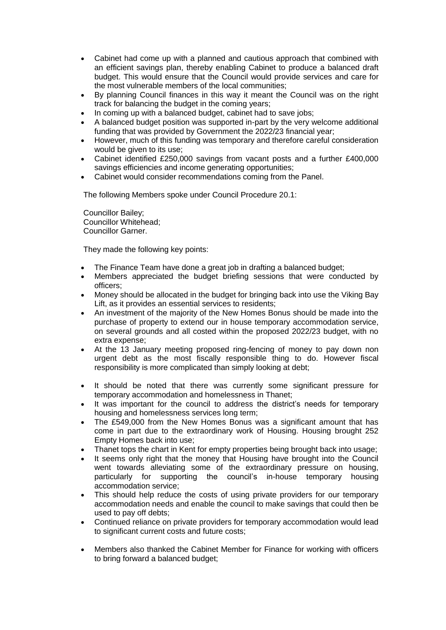- Cabinet had come up with a planned and cautious approach that combined with an efficient savings plan, thereby enabling Cabinet to produce a balanced draft budget. This would ensure that the Council would provide services and care for the most vulnerable members of the local communities;
- By planning Council finances in this way it meant the Council was on the right track for balancing the budget in the coming years;
- In coming up with a balanced budget, cabinet had to save jobs;
- A balanced budget position was supported in-part by the very welcome additional funding that was provided by Government the 2022/23 financial year;
- However, much of this funding was temporary and therefore careful consideration would be given to its use;
- Cabinet identified £250,000 savings from vacant posts and a further £400,000 savings efficiencies and income generating opportunities;
- Cabinet would consider recommendations coming from the Panel.

The following Members spoke under Council Procedure 20.1:

Councillor Bailey; Councillor Whitehead; Councillor Garner.

They made the following key points:

- The Finance Team have done a great job in drafting a balanced budget;
- Members appreciated the budget briefing sessions that were conducted by officers;
- Money should be allocated in the budget for bringing back into use the Viking Bay Lift, as it provides an essential services to residents;
- An investment of the majority of the New Homes Bonus should be made into the purchase of property to extend our in house temporary accommodation service, on several grounds and all costed within the proposed 2022/23 budget, with no extra expense;
- At the 13 January meeting proposed ring-fencing of money to pay down non urgent debt as the most fiscally responsible thing to do. However fiscal responsibility is more complicated than simply looking at debt;
- It should be noted that there was currently some significant pressure for temporary accommodation and homelessness in Thanet;
- It was important for the council to address the district's needs for temporary housing and homelessness services long term;
- The £549,000 from the New Homes Bonus was a significant amount that has come in part due to the extraordinary work of Housing. Housing brought 252 Empty Homes back into use;
- Thanet tops the chart in Kent for empty properties being brought back into usage;
- It seems only right that the money that Housing have brought into the Council went towards alleviating some of the extraordinary pressure on housing, particularly for supporting the council's in-house temporary housing accommodation service;
- This should help reduce the costs of using private providers for our temporary accommodation needs and enable the council to make savings that could then be used to pay off debts;
- Continued reliance on private providers for temporary accommodation would lead to significant current costs and future costs;
- Members also thanked the Cabinet Member for Finance for working with officers to bring forward a balanced budget;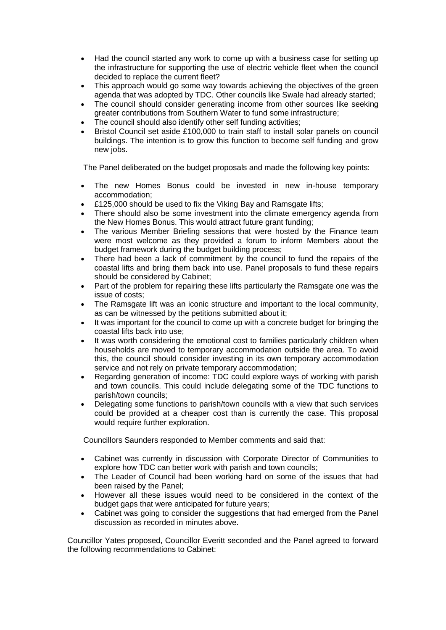- Had the council started any work to come up with a business case for setting up the infrastructure for supporting the use of electric vehicle fleet when the council decided to replace the current fleet?
- This approach would go some way towards achieving the objectives of the green agenda that was adopted by TDC. Other councils like Swale had already started;
- The council should consider generating income from other sources like seeking greater contributions from Southern Water to fund some infrastructure;
- The council should also identify other self funding activities;
- Bristol Council set aside £100,000 to train staff to install solar panels on council buildings. The intention is to grow this function to become self funding and grow new jobs.

The Panel deliberated on the budget proposals and made the following key points:

- The new Homes Bonus could be invested in new in-house temporary accommodation;
- £125,000 should be used to fix the Viking Bay and Ramsgate lifts;
- There should also be some investment into the climate emergency agenda from the New Homes Bonus. This would attract future grant funding;
- The various Member Briefing sessions that were hosted by the Finance team were most welcome as they provided a forum to inform Members about the budget framework during the budget building process;
- There had been a lack of commitment by the council to fund the repairs of the coastal lifts and bring them back into use. Panel proposals to fund these repairs should be considered by Cabinet;
- Part of the problem for repairing these lifts particularly the Ramsgate one was the issue of costs;
- The Ramsgate lift was an iconic structure and important to the local community, as can be witnessed by the petitions submitted about it;
- It was important for the council to come up with a concrete budget for bringing the coastal lifts back into use;
- It was worth considering the emotional cost to families particularly children when households are moved to temporary accommodation outside the area. To avoid this, the council should consider investing in its own temporary accommodation service and not rely on private temporary accommodation;
- Regarding generation of income: TDC could explore ways of working with parish and town councils. This could include delegating some of the TDC functions to parish/town councils;
- Delegating some functions to parish/town councils with a view that such services could be provided at a cheaper cost than is currently the case. This proposal would require further exploration.

Councillors Saunders responded to Member comments and said that:

- Cabinet was currently in discussion with Corporate Director of Communities to explore how TDC can better work with parish and town councils;
- The Leader of Council had been working hard on some of the issues that had been raised by the Panel;
- However all these issues would need to be considered in the context of the budget gaps that were anticipated for future years;
- Cabinet was going to consider the suggestions that had emerged from the Panel discussion as recorded in minutes above.

Councillor Yates proposed, Councillor Everitt seconded and the Panel agreed to forward the following recommendations to Cabinet: